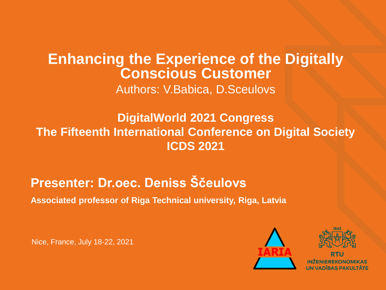### **Enhancing the Experience of the Digitally Conscious Customer** Authors: V.Babica, D.Sceulovs

### **DigitalWorld 2021 Congress The Fifteenth International Conference on Digital Society ICDS 2021**

## **Presenter: Dr.oec. Deniss Ščeulovs**

**Associated professor of Riga Technical university, Riga, Latvia**

Nice, France, July 18-22, 2021





VADĪBAS FAKULTĀTE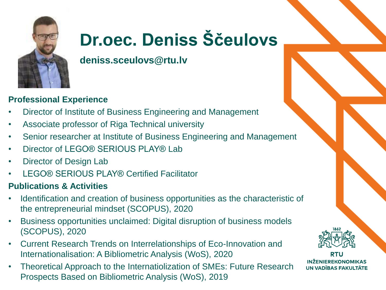

# **Dr.oec. Deniss Ščeulovs**

**deniss.sceulovs@rtu.lv**

#### **Professional Experience**

- Director of Institute of Business Engineering and Management
- Associate professor of Riga Technical university
- Senior researcher at Institute of Business Engineering and Management
- Director of LEGO® SERIOUS PLAY® Lab
- Director of Design Lab
- LEGO® SERIOUS PLAY® Certified Facilitator

#### **Publications & Activities**

- Identification and creation of business opportunities as the characteristic of the entrepreneurial mindset (SCOPUS), 2020
- Business opportunities unclaimed: Digital disruption of business models (SCOPUS), 2020
- Current Research Trends on Interrelationships of Eco-Innovation and Internationalisation: A Bibliometric Analysis (WoS), 2020
- Theoretical Approach to the Internatiolization of SMEs: Future Research Prospects Based on Bibliometric Analysis (WoS), 2019



**INŽENIEREKONOMIKAS UN VADĪBAS FAKULTĀTE**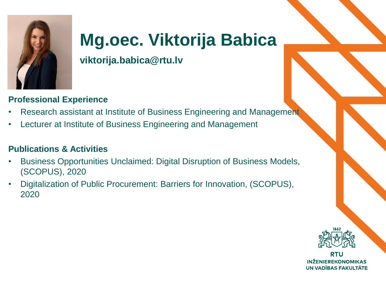

# **Mg.oec. Viktorija Babica**

**viktorija.babica@rtu.lv**

#### **Professional Experience**

- Research assistant at Institute of Business Engineering and Management
- Lecturer at Institute of Business Engineering and Management

#### **Publications & Activities**

- Business Opportunities Unclaimed: Digital Disruption of Business Models, (SCOPUS), 2020
- Digitalization of Public Procurement: Barriers for Innovation, (SCOPUS), 2020



**INŽENIEREKONOMIKAS UN VADĪBAS FAKULTĀTE**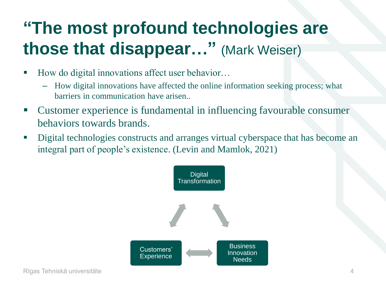# **"The most profound technologies are those that disappear…"** (Mark Weiser)

- How do digital innovations affect user behavior...
	- How digital innovations have affected the online information seeking process; what barriers in communication have arisen..
- Customer experience is fundamental in influencing favourable consumer behaviors towards brands.
- **•** Digital technologies constructs and arranges virtual cyberspace that has become an integral part of people's existence. (Levin and Mamlok, 2021)

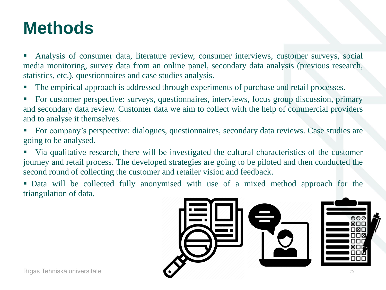# **Methods**

**•** Analysis of consumer data, literature review, consumer interviews, customer surveys, social media monitoring, survey data from an online panel, secondary data analysis (previous research, statistics, etc.), questionnaires and case studies analysis.

- The empirical approach is addressed through experiments of purchase and retail processes.
- For customer perspective: surveys, questionnaires, interviews, focus group discussion, primary and secondary data review. Customer data we aim to collect with the help of commercial providers and to analyse it themselves.
- For company's perspective: dialogues, questionnaires, secondary data reviews. Case studies are going to be analysed.
- Via qualitative research, there will be investigated the cultural characteristics of the customer journey and retail process. The developed strategies are going to be piloted and then conducted the second round of collecting the customer and retailer vision and feedback.
- Data will be collected fully anonymised with use of a mixed method approach for the triangulation of data.

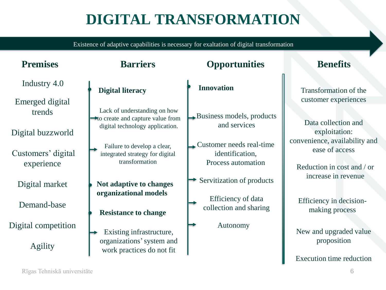# **DIGITAL TRANSFORMATION**

Existence of adaptive capabilities is necessary for exaltation of digital transformation

| <b>Premises</b>                  | <b>Barriers</b>                                                                                                   | <b>Opportunities</b>                                                                    | <b>Benefits</b>                                                               |
|----------------------------------|-------------------------------------------------------------------------------------------------------------------|-----------------------------------------------------------------------------------------|-------------------------------------------------------------------------------|
| Industry 4.0<br>Emerged digital  | <b>Digital literacy</b>                                                                                           | <b>Innovation</b>                                                                       | Transformation of the<br>customer experiences                                 |
| trends<br>Digital buzzworld      | Lack of understanding on how<br>$\rightarrow$ to create and capture value from<br>digital technology application. | $\rightarrow$ Business models, products<br>and services                                 | Data collection and<br>exploitation:                                          |
| Customers' digital<br>experience | Failure to develop a clear,<br>integrated strategy for digital<br>transformation                                  | $\blacktriangleright$ Customer needs real-time<br>identification,<br>Process automation | convenience, availability and<br>ease of access<br>Reduction in cost and / or |
| Digital market                   | Not adaptive to changes                                                                                           | Servitization of products                                                               | increase in revenue                                                           |
| Demand-base                      | organizational models<br><b>Resistance to change</b>                                                              | Efficiency of data<br>collection and sharing                                            | Efficiency in decision-<br>making process                                     |
| Digital competition              | Existing infrastructure,                                                                                          | Autonomy                                                                                | New and upgraded value                                                        |
| Agility                          | organizations' system and<br>work practices do not fit                                                            |                                                                                         | proposition                                                                   |
|                                  |                                                                                                                   |                                                                                         | Execution time reduction                                                      |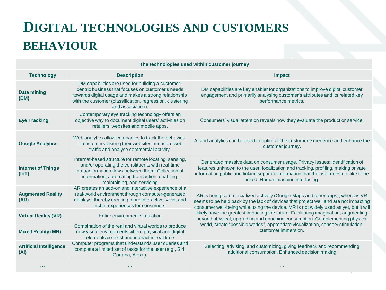## **DIGITAL TECHNOLOGIES AND CUSTOMERS BEHAVIOUR**

| <b>Technology</b>                      | <b>Description</b>                                                                                                                                                                                                                                | <b>Impact</b>                                                                                                                                                                                                                                                                                                                                                                                                                                                                                                                                   |  |  |  |
|----------------------------------------|---------------------------------------------------------------------------------------------------------------------------------------------------------------------------------------------------------------------------------------------------|-------------------------------------------------------------------------------------------------------------------------------------------------------------------------------------------------------------------------------------------------------------------------------------------------------------------------------------------------------------------------------------------------------------------------------------------------------------------------------------------------------------------------------------------------|--|--|--|
| <b>Data mining</b><br>(DM)             | DM capabilities are used for building a customer-<br>centric business that focuses on customer's needs<br>towards digital usage and makes a strong relationship<br>with the customer (classification, regression, clustering<br>and association). | DM capabilities are key enabler for organizations to improve digital customer<br>engagement and primarily analysing customer's attributes and its related key<br>performance metrics.                                                                                                                                                                                                                                                                                                                                                           |  |  |  |
| <b>Eye Tracking</b>                    | Contemporary eye tracking technology offers an<br>objective way to document digital users' activities on<br>retailers' websites and mobile apps.                                                                                                  | Consumers' visual attention reveals how they evaluate the product or service.                                                                                                                                                                                                                                                                                                                                                                                                                                                                   |  |  |  |
| <b>Google Analytics</b>                | Web analytics allow companies to track the behaviour<br>of customers visiting their websites, measure web<br>traffic and analyse commercial activity.                                                                                             | Al and analytics can be used to optimize the customer experience and enhance the<br>customer journey.                                                                                                                                                                                                                                                                                                                                                                                                                                           |  |  |  |
| <b>Internet of Things</b><br>(IO)      | Internet-based structure for remote locating, sensing,<br>and/or operating the constituents with real-time<br>data/information flows between them. Collection of<br>information, automating transaction, enabling,<br>maintaining, and servicing  | Generated massive data on consumer usage. Privacy issues: identification of<br>features unknown to the user, localization and tracking, profiling, making private<br>information public and linking separate information that the user does not like to be<br>linked. Human machine interfacing.                                                                                                                                                                                                                                                |  |  |  |
| <b>Augmented Reality</b><br>(AR)       | AR creates an add-on and interactive experience of a<br>real-world environment through computer-generated<br>displays, thereby creating more interactive, vivid, and<br>richer experiences for consumers                                          | AR is being commercialized actively (Google Maps and other apps), whereas VR<br>seems to be held back by the lack of devices that project well and are not impacting<br>consumer well-being while using the device. MR is not widely used as yet, but it will<br>likely have the greatest impacting the future. Facilitating imagination, augmenting<br>beyond physical, upgrading and enriching consumption. Complementing physical<br>world, create "possible worlds", appropriate visualization, sensory stimulation,<br>customer immersion. |  |  |  |
| <b>Virtual Reality (VR)</b>            | Entire environment simulation                                                                                                                                                                                                                     |                                                                                                                                                                                                                                                                                                                                                                                                                                                                                                                                                 |  |  |  |
| <b>Mixed Reality (MR)</b>              | Combination of the real and virtual worlds to produce<br>new visual environments where physical and digital<br>elements co-exist and interact in real time                                                                                        |                                                                                                                                                                                                                                                                                                                                                                                                                                                                                                                                                 |  |  |  |
| <b>Artificial Intelligence</b><br>(AI) | Computer programs that understands user queries and<br>complete a limited set of tasks for the user (e.g., Siri,<br>Cortana, Alexa).                                                                                                              | Selecting, advising, and customizing, giving feedback and recommending<br>additional consumption. Enhanced decision making                                                                                                                                                                                                                                                                                                                                                                                                                      |  |  |  |
|                                        |                                                                                                                                                                                                                                                   |                                                                                                                                                                                                                                                                                                                                                                                                                                                                                                                                                 |  |  |  |

**The technologies used within customer journey**

7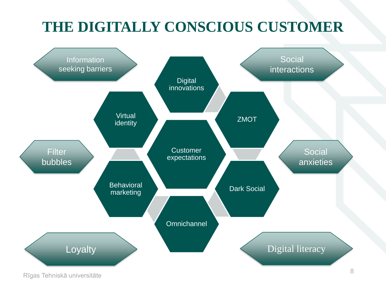# **THE DIGITALLY CONSCIOUS CUSTOMER**



Rīgas Tehniskā universitāte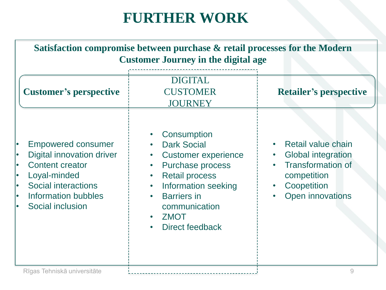## **FURTHER WORK**

| Satisfaction compromise between purchase & retail processes for the Modern<br><b>Customer Journey in the digital age</b>                                                         |                                                                                                                                                                                                                                                            |                                                                                                                                      |  |  |  |
|----------------------------------------------------------------------------------------------------------------------------------------------------------------------------------|------------------------------------------------------------------------------------------------------------------------------------------------------------------------------------------------------------------------------------------------------------|--------------------------------------------------------------------------------------------------------------------------------------|--|--|--|
| <b>Customer's perspective</b>                                                                                                                                                    | <b>DIGITAL</b><br><b>CUSTOMER</b><br><b>JOURNEY</b>                                                                                                                                                                                                        | <b>Retailer's perspective</b>                                                                                                        |  |  |  |
| <b>Empowered consumer</b><br><b>Digital innovation driver</b><br><b>Content creator</b><br>Loyal-minded<br><b>Social interactions</b><br>Information bubbles<br>Social inclusion | Consumption<br><b>Dark Social</b><br><b>Customer experience</b><br><b>Purchase process</b><br><b>Retail process</b><br>$\bullet$<br>Information seeking<br>$\bullet$<br><b>Barriers</b> in<br>communication<br><b>ZMOT</b><br>$\bullet$<br>Direct feedback | Retail value chain<br><b>Global integration</b><br><b>Transformation of</b><br>competition<br>Coopetition<br><b>Open innovations</b> |  |  |  |